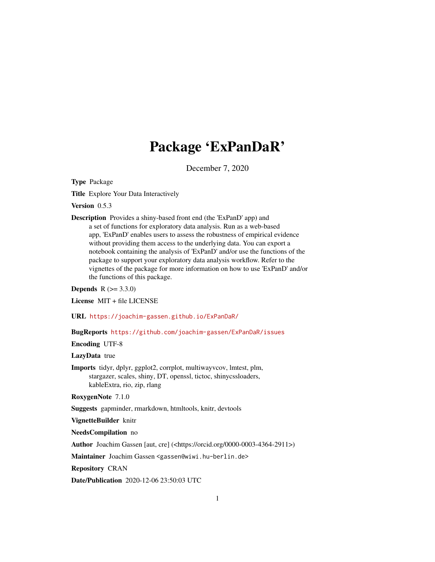# Package 'ExPanDaR'

December 7, 2020

<span id="page-0-0"></span>Type Package

Title Explore Your Data Interactively

Version 0.5.3

Description Provides a shiny-based front end (the 'ExPanD' app) and a set of functions for exploratory data analysis. Run as a web-based app, 'ExPanD' enables users to assess the robustness of empirical evidence without providing them access to the underlying data. You can export a notebook containing the analysis of 'ExPanD' and/or use the functions of the package to support your exploratory data analysis workflow. Refer to the vignettes of the package for more information on how to use 'ExPanD' and/or the functions of this package.

**Depends**  $R (= 3.3.0)$ 

License MIT + file LICENSE

URL <https://joachim-gassen.github.io/ExPanDaR/>

BugReports <https://github.com/joachim-gassen/ExPanDaR/issues>

Encoding UTF-8

LazyData true

Imports tidyr, dplyr, ggplot2, corrplot, multiwayvcov, lmtest, plm, stargazer, scales, shiny, DT, openssl, tictoc, shinycssloaders, kableExtra, rio, zip, rlang

RoxygenNote 7.1.0

Suggests gapminder, rmarkdown, htmltools, knitr, devtools

VignetteBuilder knitr

NeedsCompilation no

Author Joachim Gassen [aut, cre] (<https://orcid.org/0000-0003-4364-2911>)

Maintainer Joachim Gassen <gassen@wiwi.hu-berlin.de>

Repository CRAN

Date/Publication 2020-12-06 23:50:03 UTC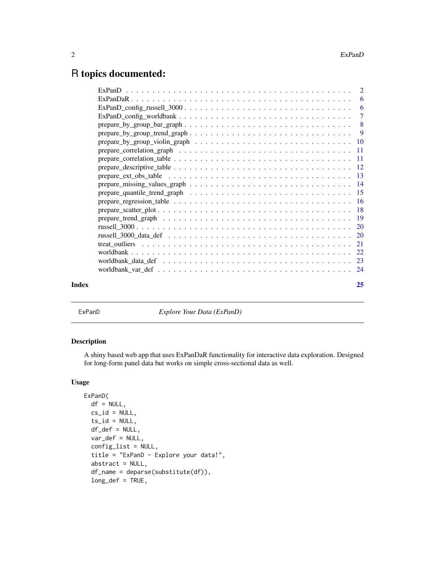# <span id="page-1-0"></span>R topics documented:

|       | prepare_missing_values_graph $\ldots \ldots \ldots \ldots \ldots \ldots \ldots \ldots \ldots \ldots \ldots \ldots$ |    |
|-------|--------------------------------------------------------------------------------------------------------------------|----|
|       |                                                                                                                    |    |
|       |                                                                                                                    |    |
|       |                                                                                                                    |    |
|       |                                                                                                                    |    |
|       |                                                                                                                    |    |
|       |                                                                                                                    |    |
|       |                                                                                                                    |    |
|       |                                                                                                                    |    |
|       |                                                                                                                    |    |
|       |                                                                                                                    |    |
| Index |                                                                                                                    | 25 |
|       |                                                                                                                    |    |

<span id="page-1-1"></span>ExPanD *Explore Your Data (ExPanD)*

# Description

A shiny based web app that uses ExPanDaR functionality for interactive data exploration. Designed for long-form panel data but works on simple cross-sectional data as well.

```
ExPanD(
 df = NULL,cs_id = NULL,ts_id = NULL,df_def = NULL,
  var\_def = NULL,config_list = NULL,
  title = "ExPanD - Explore your data!",
  abstract = NULL,
  df_name = deparse(substitute(df)),
  long_def = TRUE,
```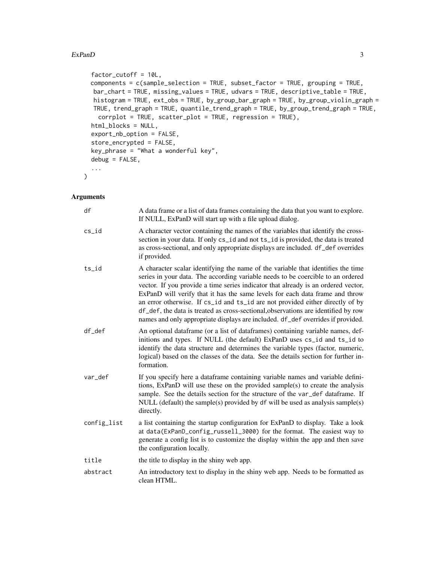# $\mathbb{E}x$ PanD 3

```
factor_cutoff = 10L,
 components = c(sample_selection = TRUE, subset_factor = TRUE, grouping = TRUE,
  bar_chart = TRUE, missing_values = TRUE, udvars = TRUE, descriptive_table = TRUE,
  histogram = TRUE, ext_obs = TRUE, by_group_bar_graph = TRUE, by_group_violin_graph =
  TRUE, trend_graph = TRUE, quantile_trend_graph = TRUE, by_group_trend_graph = TRUE,
   corrplot = TRUE, scatter_plot = TRUE, regression = TRUE),
 html_blocks = NULL,
  export_nb_option = FALSE,
  store_encrypted = FALSE,
 key_phrase = "What a wonderful key",
 debug = FALSE,
  ...
)
```
# Arguments

| df          | A data frame or a list of data frames containing the data that you want to explore.<br>If NULL, ExPanD will start up with a file upload dialog.                                                                                                                                                                                                                                                                                                                                                                                                                                                    |
|-------------|----------------------------------------------------------------------------------------------------------------------------------------------------------------------------------------------------------------------------------------------------------------------------------------------------------------------------------------------------------------------------------------------------------------------------------------------------------------------------------------------------------------------------------------------------------------------------------------------------|
| $cs_id$     | A character vector containing the names of the variables that identify the cross-<br>section in your data. If only cs_id and not ts_id is provided, the data is treated<br>as cross-sectional, and only appropriate displays are included. df_def overrides<br>if provided.                                                                                                                                                                                                                                                                                                                        |
| ts_id       | A character scalar identifying the name of the variable that identifies the time<br>series in your data. The according variable needs to be coercible to an ordered<br>vector. If you provide a time series indicator that already is an ordered vector,<br>ExPanD will verify that it has the same levels for each data frame and throw<br>an error otherwise. If cs_id and ts_id are not provided either directly of by<br>df_def, the data is treated as cross-sectional, observations are identified by row<br>names and only appropriate displays are included. df_def overrides if provided. |
| df_def      | An optional dataframe (or a list of dataframes) containing variable names, def-<br>initions and types. If NULL (the default) ExPanD uses cs_id and ts_id to<br>identify the data structure and determines the variable types (factor, numeric,<br>logical) based on the classes of the data. See the details section for further in-<br>formation.                                                                                                                                                                                                                                                 |
| var_def     | If you specify here a dataframe containing variable names and variable defini-<br>tions, ExPanD will use these on the provided sample(s) to create the analysis<br>sample. See the details section for the structure of the var_def dataframe. If<br>NULL (default) the sample(s) provided by $df$ will be used as analysis sample(s)<br>directly.                                                                                                                                                                                                                                                 |
| config_list | a list containing the startup configuration for ExPanD to display. Take a look<br>at data(ExPanD_config_russell_3000) for the format. The easiest way to<br>generate a config list is to customize the display within the app and then save<br>the configuration locally.                                                                                                                                                                                                                                                                                                                          |
| title       | the title to display in the shiny web app.                                                                                                                                                                                                                                                                                                                                                                                                                                                                                                                                                         |
| abstract    | An introductory text to display in the shiny web app. Needs to be formatted as<br>clean HTML.                                                                                                                                                                                                                                                                                                                                                                                                                                                                                                      |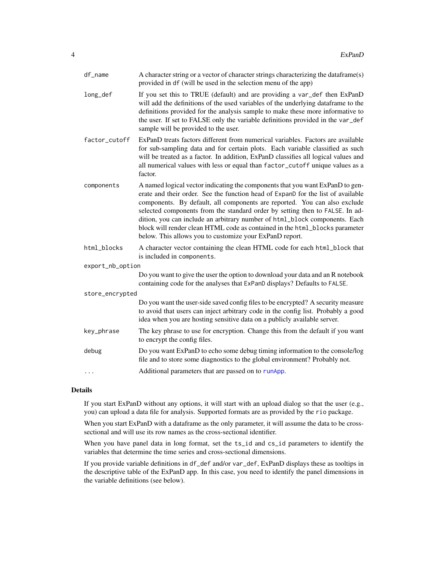<span id="page-3-0"></span>

| df_name          | A character string or a vector of character strings characterizing the dataframe(s)<br>provided in df (will be used in the selection menu of the app)                                                                                                                                                                                                                                                                                                                                                                                                  |
|------------------|--------------------------------------------------------------------------------------------------------------------------------------------------------------------------------------------------------------------------------------------------------------------------------------------------------------------------------------------------------------------------------------------------------------------------------------------------------------------------------------------------------------------------------------------------------|
| long_def         | If you set this to TRUE (default) and are providing a var_def then ExPanD<br>will add the definitions of the used variables of the underlying dataframe to the<br>definitions provided for the analysis sample to make these more informative to<br>the user. If set to FALSE only the variable definitions provided in the var_def<br>sample will be provided to the user.                                                                                                                                                                            |
| factor_cutoff    | ExPanD treats factors different from numerical variables. Factors are available<br>for sub-sampling data and for certain plots. Each variable classified as such<br>will be treated as a factor. In addition, ExPanD classifies all logical values and<br>all numerical values with less or equal than factor_cutoff unique values as a<br>factor.                                                                                                                                                                                                     |
| components       | A named logical vector indicating the components that you want ExPanD to gen-<br>erate and their order. See the function head of ExpanD for the list of available<br>components. By default, all components are reported. You can also exclude<br>selected components from the standard order by setting then to FALSE. In ad-<br>dition, you can include an arbitrary number of html_block components. Each<br>block will render clean HTML code as contained in the html_blocks parameter<br>below. This allows you to customize your ExPanD report. |
| html_blocks      | A character vector containing the clean HTML code for each html_block that<br>is included in components.                                                                                                                                                                                                                                                                                                                                                                                                                                               |
| export_nb_option |                                                                                                                                                                                                                                                                                                                                                                                                                                                                                                                                                        |
|                  | Do you want to give the user the option to download your data and an R notebook<br>containing code for the analyses that ExPanD displays? Defaults to FALSE.                                                                                                                                                                                                                                                                                                                                                                                           |
| store_encrypted  |                                                                                                                                                                                                                                                                                                                                                                                                                                                                                                                                                        |
|                  | Do you want the user-side saved config files to be encrypted? A security measure<br>to avoid that users can inject arbitrary code in the config list. Probably a good<br>idea when you are hosting sensitive data on a publicly available server.                                                                                                                                                                                                                                                                                                      |
| key_phrase       | The key phrase to use for encryption. Change this from the default if you want<br>to encrypt the config files.                                                                                                                                                                                                                                                                                                                                                                                                                                         |
| debug            | Do you want ExPanD to echo some debug timing information to the console/log<br>file and to store some diagnostics to the global environment? Probably not.                                                                                                                                                                                                                                                                                                                                                                                             |
| $\cdots$         | Additional parameters that are passed on to runApp.                                                                                                                                                                                                                                                                                                                                                                                                                                                                                                    |

# Details

If you start ExPanD without any options, it will start with an upload dialog so that the user (e.g., you) can upload a data file for analysis. Supported formats are as provided by the rio package.

When you start ExPanD with a dataframe as the only parameter, it will assume the data to be crosssectional and will use its row names as the cross-sectional identifier.

When you have panel data in long format, set the ts\_id and cs\_id parameters to identify the variables that determine the time series and cross-sectional dimensions.

If you provide variable definitions in df\_def and/or var\_def, ExPanD displays these as tooltips in the descriptive table of the ExPanD app. In this case, you need to identify the panel dimensions in the variable definitions (see below).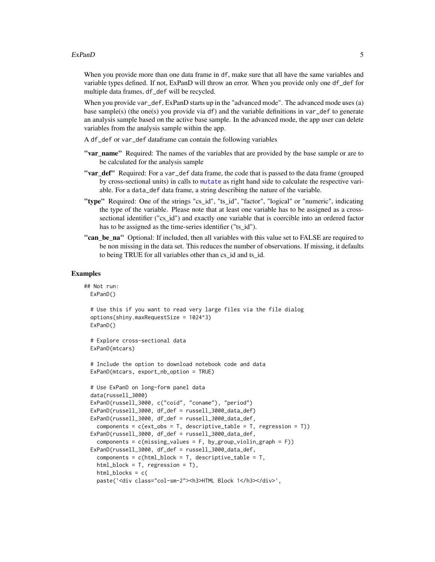#### <span id="page-4-0"></span> $ExPanD$  5

When you provide more than one data frame in df, make sure that all have the same variables and variable types defined. If not, ExPanD will throw an error. When you provide only one df\_def for multiple data frames, df\_def will be recycled.

When you provide var\_def, ExPanD starts up in the "advanced mode". The advanced mode uses (a) base sample(s) (the one(s) you provide via df) and the variable definitions in var\_def to generate an analysis sample based on the active base sample. In the advanced mode, the app user can delete variables from the analysis sample within the app.

- A df\_def or var\_def dataframe can contain the following variables
- "var\_name" Required: The names of the variables that are provided by the base sample or are to be calculated for the analysis sample
- "var\_def" Required: For a var\_def data frame, the code that is passed to the data frame (grouped by cross-sectional units) in calls to [mutate](#page-0-0) as right hand side to calculate the respective variable. For a data\_def data frame, a string describing the nature of the variable.
- "type" Required: One of the strings "cs\_id", "ts\_id", "factor", "logical" or "numeric", indicating the type of the variable. Please note that at least one variable has to be assigned as a crosssectional identifier ("cs\_id") and exactly one variable that is coercible into an ordered factor has to be assigned as the time-series identifier ("ts\_id").
- "can be na" Optional: If included, then all variables with this value set to FALSE are required to be non missing in the data set. This reduces the number of observations. If missing, it defaults to being TRUE for all variables other than cs\_id and ts\_id.

```
## Not run:
 ExPanD()
 # Use this if you want to read very large files via the file dialog
 options(shiny.maxRequestSize = 1024^3)
 ExPanD()
 # Explore cross-sectional data
 ExPanD(mtcars)
 # Include the option to download notebook code and data
 ExPanD(mtcars, export_nb_option = TRUE)
 # Use ExPanD on long-form panel data
 data(russell_3000)
 ExPanD(russell_3000, c("coid", "coname"), "period")
 ExPanD(russell_3000, df_def = russell_3000_data_def)
 ExPanD(russell_3000, df_def = russell_3000_data_def,
   components = c(ext_obs = T, descriptive_table = T, regression = T))ExPanD(russell_3000, df_def = russell_3000_data_def,
   components = c(missing_values = F, by-group_valuejolin-graph = F)ExPanD(russell_3000, df_def = russell_3000_data_def,
   components = c(html_block = T, descriptive_table = T,
   html_block = T, regression = T),
   html_blocks = c(
   paste('<div class="col-sm-2"><h3>HTML Block 1</h3></div>',
```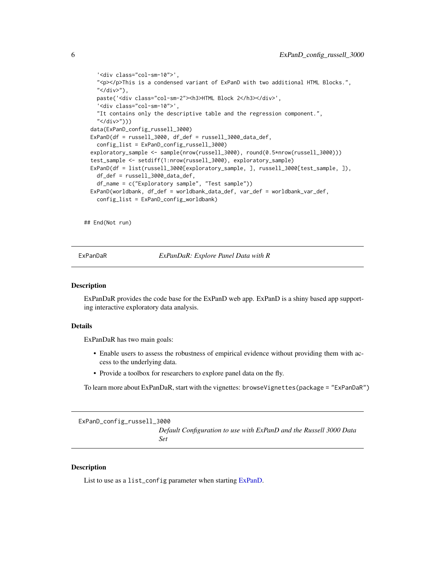```
'<div class="col-sm-10">',
  "<p></p>This is a condensed variant of ExPanD with two additional HTML Blocks.",
  "</div>"),
  paste('<div class="col-sm-2"><h3>HTML Block 2</h3></div>',
  '<div class="col-sm-10">',
  "It contains only the descriptive table and the regression component.",
  "</div>")))
data(ExPanD_config_russell_3000)
ExPanD(df = russell_3000, df_def = russell_3000_data_def,
  config_list = ExPanD_config_russell_3000)
exploratory_sample <- sample(nrow(russell_3000), round(0.5*nrow(russell_3000)))
test_sample <- setdiff(1:nrow(russell_3000), exploratory_sample)
ExPanD(df = list(russell_3000[exploratory_sample, ], russell_3000[test_sample, ]),
  df_def = russell_3000_data_def,
  df_name = c("Exploratory sample", "Test sample"))
ExPanD(worldbank, df_def = worldbank_data_def, var_def = worldbank_var_def,
  config_list = ExPanD_config_worldbank)
```
## End(Not run)

ExPanDaR *ExPanDaR: Explore Panel Data with R*

#### Description

ExPanDaR provides the code base for the ExPanD web app. ExPanD is a shiny based app supporting interactive exploratory data analysis.

#### Details

ExPanDaR has two main goals:

- Enable users to assess the robustness of empirical evidence without providing them with access to the underlying data.
- Provide a toolbox for researchers to explore panel data on the fly.

To learn more about ExPanDaR, start with the vignettes: browseVignettes(package = "ExPanDaR")

ExPanD\_config\_russell\_3000 *Default Configuration to use with ExPanD and the Russell 3000 Data Set*

# Description

List to use as a list\_config parameter when starting [ExPanD.](#page-1-1)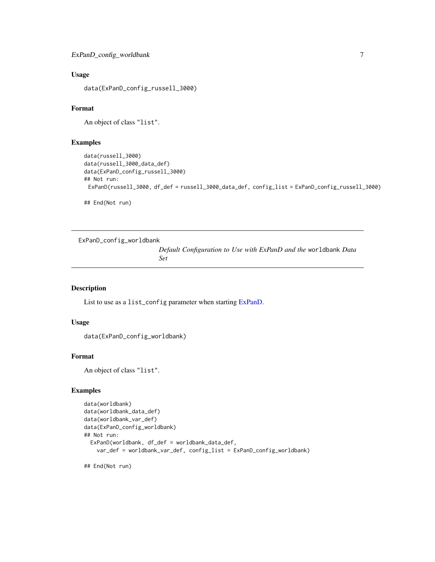# <span id="page-6-0"></span>Usage

data(ExPanD\_config\_russell\_3000)

# Format

An object of class "list".

#### Examples

```
data(russell_3000)
data(russell_3000_data_def)
data(ExPanD_config_russell_3000)
## Not run:
 ExPanD(russell_3000, df_def = russell_3000_data_def, config_list = ExPanD_config_russell_3000)
## End(Not run)
```
ExPanD\_config\_worldbank

*Default Configuration to Use with ExPanD and the* worldbank *Data Set*

#### Description

List to use as a list\_config parameter when starting [ExPanD.](#page-1-1)

#### Usage

```
data(ExPanD_config_worldbank)
```
#### Format

An object of class "list".

# Examples

```
data(worldbank)
data(worldbank_data_def)
data(worldbank_var_def)
data(ExPanD_config_worldbank)
## Not run:
 ExPanD(worldbank, df_def = worldbank_data_def,
   var_def = worldbank_var_def, config_list = ExPanD_config_worldbank)
```
## End(Not run)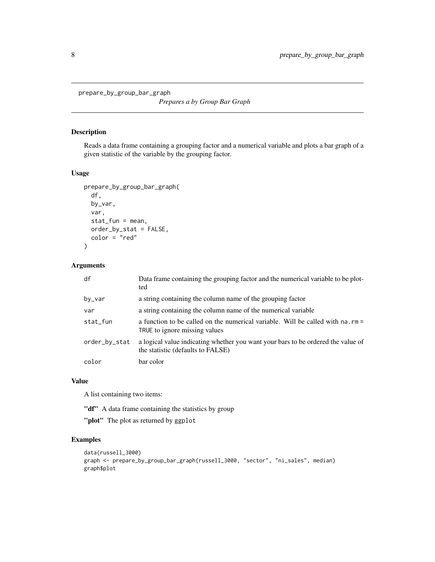<span id="page-7-0"></span>prepare\_by\_group\_bar\_graph

*Prepares a by Group Bar Graph*

# Description

Reads a data frame containing a grouping factor and a numerical variable and plots a bar graph of a given statistic of the variable by the grouping factor.

# Usage

```
prepare_by_group_bar_graph(
  df,
 by_var,
 var,
  stat_fun = mean,
 order_by_stat = FALSE,
  color = "red"
)
```
# Arguments

| df            | Data frame containing the grouping factor and the numerical variable to be plot-<br>ted                               |
|---------------|-----------------------------------------------------------------------------------------------------------------------|
| by_var        | a string containing the column name of the grouping factor                                                            |
| var           | a string containing the column name of the numerical variable                                                         |
| stat_fun      | a function to be called on the numerical variable. Will be called with na. rm =<br>TRUE to ignore missing values      |
| order_by_stat | a logical value indicating whether you want your bars to be ordered the value of<br>the statistic (defaults to FALSE) |
| color         | bar color                                                                                                             |

# Value

A list containing two items:

"df" A data frame containing the statistics by group

"plot" The plot as returned by ggplot

```
data(russell_3000)
graph <- prepare_by_group_bar_graph(russell_3000, "sector", "ni_sales", median)
graph$plot
```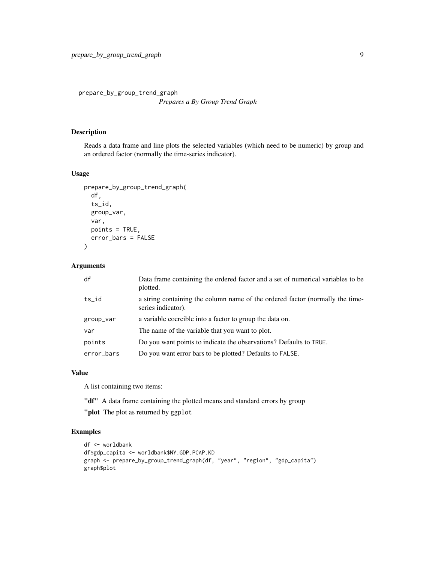<span id="page-8-0"></span>prepare\_by\_group\_trend\_graph

*Prepares a By Group Trend Graph*

# Description

Reads a data frame and line plots the selected variables (which need to be numeric) by group and an ordered factor (normally the time-series indicator).

# Usage

```
prepare_by_group_trend_graph(
  df,
  ts_id,
  group_var,
  var,
  points = TRUE,
  error_bars = FALSE
\mathcal{E}
```
#### Arguments

| df         | Data frame containing the ordered factor and a set of numerical variables to be<br>plotted.         |
|------------|-----------------------------------------------------------------------------------------------------|
| ts_id      | a string containing the column name of the ordered factor (normally the time-<br>series indicator). |
| group_var  | a variable coercible into a factor to group the data on.                                            |
| var        | The name of the variable that you want to plot.                                                     |
| points     | Do you want points to indicate the observations? Defaults to TRUE.                                  |
| error_bars | Do you want error bars to be plotted? Defaults to FALSE.                                            |

# Value

A list containing two items:

"df" A data frame containing the plotted means and standard errors by group

"plot The plot as returned by ggplot

```
df <- worldbank
df$gdp_capita <- worldbank$NY.GDP.PCAP.KD
graph <- prepare_by_group_trend_graph(df, "year", "region", "gdp_capita")
graph$plot
```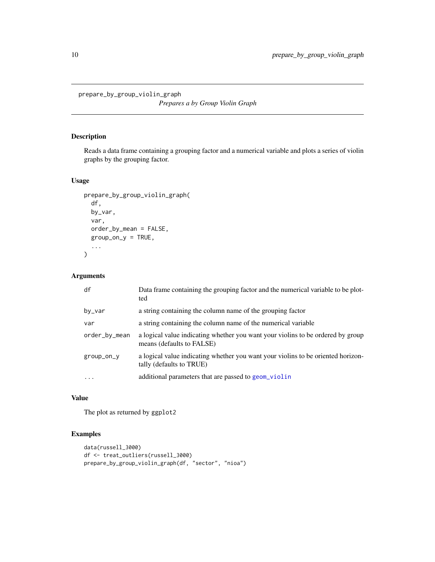<span id="page-9-0"></span>prepare\_by\_group\_violin\_graph

*Prepares a by Group Violin Graph*

# Description

Reads a data frame containing a grouping factor and a numerical variable and plots a series of violin graphs by the grouping factor.

# Usage

```
prepare_by_group_violin_graph(
  df,
  by_var,
  var,
  order_by_mean = FALSE,
  group\_on_y = TRUE,...
\mathcal{L}
```
# Arguments

| df            | Data frame containing the grouping factor and the numerical variable to be plot-<br>ted                      |
|---------------|--------------------------------------------------------------------------------------------------------------|
| by_var        | a string containing the column name of the grouping factor                                                   |
| var           | a string containing the column name of the numerical variable                                                |
| order_by_mean | a logical value indicating whether you want your violins to be ordered by group<br>means (defaults to FALSE) |
| group_on_y    | a logical value indicating whether you want your violins to be oriented horizon-<br>tally (defaults to TRUE) |
| $\ddots$      | additional parameters that are passed to geom_violin                                                         |

# Value

The plot as returned by ggplot2

```
data(russell_3000)
df <- treat_outliers(russell_3000)
prepare_by_group_violin_graph(df, "sector", "nioa")
```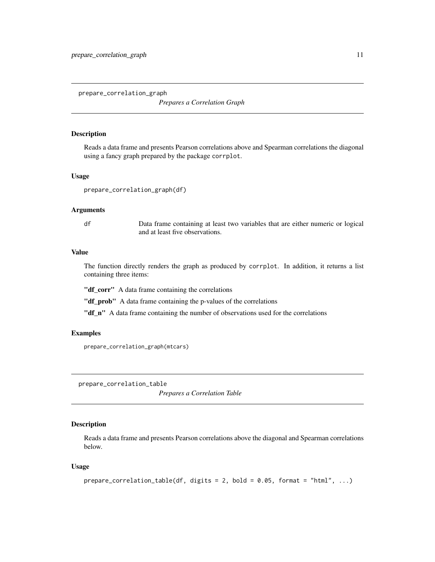<span id="page-10-0"></span>prepare\_correlation\_graph

*Prepares a Correlation Graph*

#### Description

Reads a data frame and presents Pearson correlations above and Spearman correlations the diagonal using a fancy graph prepared by the package corrplot.

#### Usage

```
prepare_correlation_graph(df)
```
# Arguments

df Data frame containing at least two variables that are either numeric or logical and at least five observations.

# Value

The function directly renders the graph as produced by corrplot. In addition, it returns a list containing three items:

"df\_corr" A data frame containing the correlations

"df\_prob" A data frame containing the p-values of the correlations

"df\_n" A data frame containing the number of observations used for the correlations

#### Examples

```
prepare_correlation_graph(mtcars)
```
prepare\_correlation\_table

*Prepares a Correlation Table*

#### Description

Reads a data frame and presents Pearson correlations above the diagonal and Spearman correlations below.

```
prepare_correlation_table(df, digits = 2, bold = 0.05, format = "html", ...)
```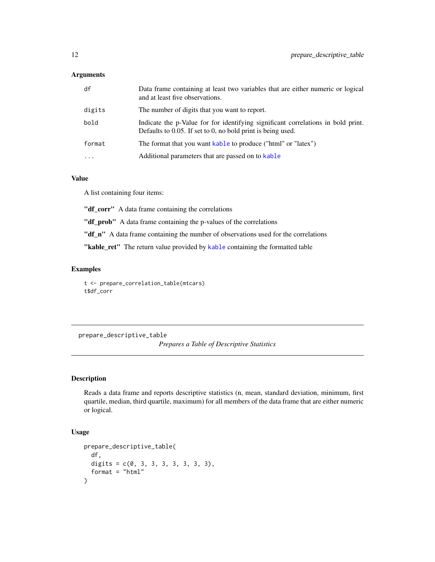<span id="page-11-0"></span>

| df       | Data frame containing at least two variables that are either numeric or logical<br>and at least five observations.                                 |
|----------|----------------------------------------------------------------------------------------------------------------------------------------------------|
| digits   | The number of digits that you want to report.                                                                                                      |
| bold     | Indicate the p-Value for for identifying significant correlations in bold print.<br>Defaults to $0.05$ . If set to 0, no bold print is being used. |
| format   | The format that you want kable to produce ("html" or "latex")                                                                                      |
| $\cdots$ | Additional parameters that are passed on to kable                                                                                                  |

# Value

A list containing four items:

"df\_corr" A data frame containing the correlations

"df\_prob" A data frame containing the p-values of the correlations

"df\_n" A data frame containing the number of observations used for the correlations

"[kable](#page-0-0)\_ret" The return value provided by kable containing the formatted table

# Examples

t <- prepare\_correlation\_table(mtcars) t\$df\_corr

prepare\_descriptive\_table

*Prepares a Table of Descriptive Statistics*

# Description

Reads a data frame and reports descriptive statistics (n, mean, standard deviation, minimum, first quartile, median, third quartile, maximum) for all members of the data frame that are either numeric or logical.

```
prepare_descriptive_table(
  df,
  digits = c(0, 3, 3, 3, 3, 3, 3, 3),
  format = "html"
\mathcal{E}
```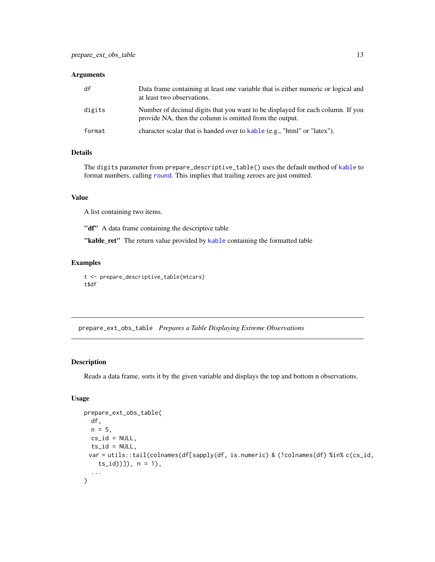<span id="page-12-0"></span>

| df     | Data frame containing at least one variable that is either numeric or logical and<br>at least two observations.                           |
|--------|-------------------------------------------------------------------------------------------------------------------------------------------|
| digits | Number of decimal digits that you want to be displayed for each column. If you<br>provide NA, then the column is omitted from the output. |
| format | character scalar that is handed over to kable (e.g., "html" or "latex").                                                                  |

# Details

The digits parameter from prepare\_descriptive\_table() uses the default method of [kable](#page-0-0) to format numbers, calling [round](#page-0-0). This implies that trailing zeroes are just omitted.

# Value

A list containing two items.

"df" A data frame containing the descriptive table

"[kable](#page-0-0)\_ret" The return value provided by kable containing the formatted table

# Examples

```
t <- prepare_descriptive_table(mtcars)
t$df
```
prepare\_ext\_obs\_table *Prepares a Table Displaying Extreme Observations*

# Description

Reads a data frame, sorts it by the given variable and displays the top and bottom n observations.

```
prepare_ext_obs_table(
  df,
 n = 5,
 cs_id = NULL,
 ts_id = NULL,var = utils::tail(colnames(df[sapply(df, is.numeric) & (!colnames(df) %in% c(cs_id,
    ts_id))]), n = 1),
  ...
\mathcal{L}
```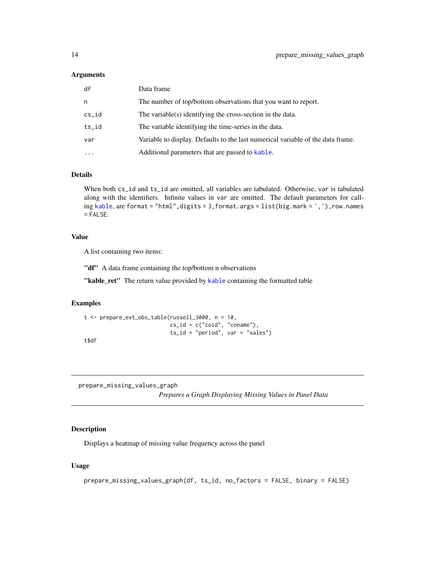<span id="page-13-0"></span>

| df        | Data frame                                                                      |
|-----------|---------------------------------------------------------------------------------|
| n         | The number of top/bottom observations that you want to report.                  |
| $cs_id$   | The variable(s) identifying the cross-section in the data.                      |
| $ts_id$   | The variable identifying the time-series in the data.                           |
| var       | Variable to display. Defaults to the last numerical variable of the data frame. |
| $\ddotsc$ | Additional parameters that are passed to kable.                                 |

#### Details

When both cs\_id and ts\_id are omitted, all variables are tabulated. Otherwise, var is tabulated along with the identifiers. Infinite values in var are omitted. The default parameters for calling [kable](#page-0-0), are format = "html",digits = 3,format.args = list(big.mark = ','),row.names  $=$  FALSE.

# Value

A list containing two items:

"df" A data frame containing the top/bottom n observations

"[kable](#page-0-0)\_ret" The return value provided by kable containing the formatted table

# Examples

```
t <- prepare_ext_obs_table(russell_3000, n = 10,
                          cs_id = c("coid", "conn",
                          ts_id = "period", var = "sales")t$df
```
prepare\_missing\_values\_graph *Prepares a Graph Displaying Missing Values in Panel Data*

Description

Displays a heatmap of missing value frequency across the panel

```
prepare_missing_values_graph(df, ts_id, no_factors = FALSE, binary = FALSE)
```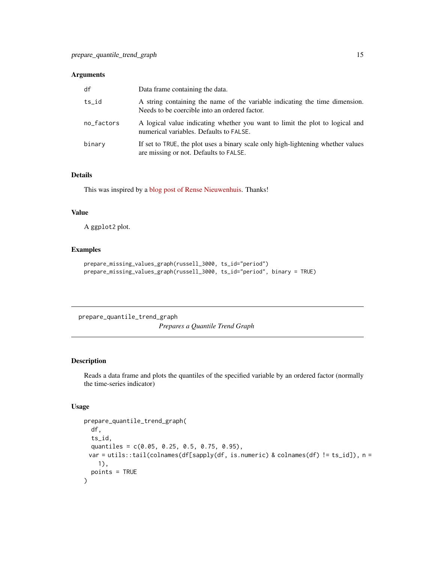<span id="page-14-0"></span>

| df         | Data frame containing the data.                                                                                              |
|------------|------------------------------------------------------------------------------------------------------------------------------|
| $ts_id$    | A string containing the name of the variable indicating the time dimension.<br>Needs to be coercible into an ordered factor. |
| no factors | A logical value indicating whether you want to limit the plot to logical and<br>numerical variables. Defaults to FALSE.      |
| binary     | If set to TRUE, the plot uses a binary scale only high-lightening whether values<br>are missing or not. Defaults to FALSE.   |

# Details

This was inspired by a [blog post of Rense Nieuwenhuis.](http://www.rensenieuwenhuis.nl/r-sessions-30-visualizing-missing-values/) Thanks!

#### Value

A ggplot2 plot.

# Examples

```
prepare_missing_values_graph(russell_3000, ts_id="period")
prepare_missing_values_graph(russell_3000, ts_id="period", binary = TRUE)
```
prepare\_quantile\_trend\_graph *Prepares a Quantile Trend Graph*

# Description

Reads a data frame and plots the quantiles of the specified variable by an ordered factor (normally the time-series indicator)

```
prepare_quantile_trend_graph(
  df,
  ts_id,
  quantiles = c(0.05, 0.25, 0.5, 0.75, 0.95),
 var = utils::tail(colnames(df[sapply(df, is.numeric) & colnames(df) != ts_id]), n =
    1),
  points = TRUE
\mathcal{E}
```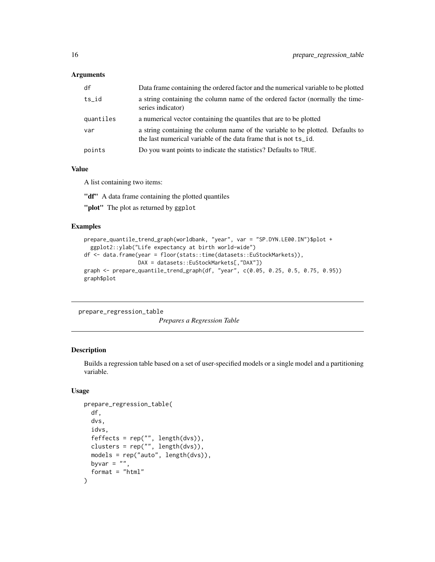<span id="page-15-0"></span>

| df        | Data frame containing the ordered factor and the numerical variable to be plotted                                                                  |
|-----------|----------------------------------------------------------------------------------------------------------------------------------------------------|
| $ts_id$   | a string containing the column name of the ordered factor (normally the time-<br>series indicator)                                                 |
| quantiles | a numerical vector containing the quantiles that are to be plotted                                                                                 |
| var       | a string containing the column name of the variable to be plotted. Defaults to<br>the last numerical variable of the data frame that is not ts_id. |
| points    | Do you want points to indicate the statistics? Defaults to TRUE.                                                                                   |

#### Value

A list containing two items:

"df" A data frame containing the plotted quantiles

"plot" The plot as returned by ggplot

# Examples

```
prepare_quantile_trend_graph(worldbank, "year", var = "SP.DYN.LE00.IN")$plot +
  ggplot2::ylab("Life expectancy at birth world-wide")
df <- data.frame(year = floor(stats::time(datasets::EuStockMarkets)),
                DAX = datasets::EuStockMarkets[,"DAX"])
graph <- prepare_quantile_trend_graph(df, "year", c(0.05, 0.25, 0.5, 0.75, 0.95))
graph$plot
```
prepare\_regression\_table

*Prepares a Regression Table*

### Description

Builds a regression table based on a set of user-specified models or a single model and a partitioning variable.

```
prepare_regression_table(
 df,
 dvs,
 idvs,
 feffects = rep("", length(dvs)),
 clusters = rep("", length(dvs)),
 models = rep("auto", length(dvs)),
 byvar = ",
  format = "html")
```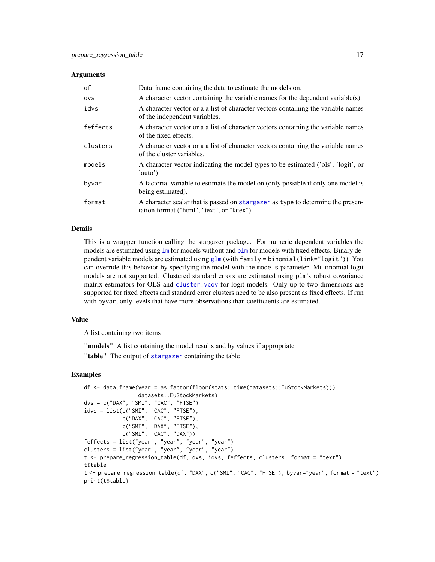<span id="page-16-0"></span>

| df       | Data frame containing the data to estimate the models on.                                                                      |
|----------|--------------------------------------------------------------------------------------------------------------------------------|
| dvs      | A character vector containing the variable names for the dependent variable(s).                                                |
| idvs     | A character vector or a a list of character vectors containing the variable names<br>of the independent variables.             |
| feffects | A character vector or a a list of character vectors containing the variable names<br>of the fixed effects.                     |
| clusters | A character vector or a a list of character vectors containing the variable names<br>of the cluster variables.                 |
| models   | A character vector indicating the model types to be estimated ('ols', 'logit', or<br>'auto')                                   |
| byvar    | A factorial variable to estimate the model on (only possible if only one model is<br>being estimated).                         |
| format   | A character scalar that is passed on stargazer as type to determine the presen-<br>tation format ("html", "text", or "latex"). |

#### Details

This is a wrapper function calling the stargazer package. For numeric dependent variables the models are estimated using  $\text{Im}$  for models without and  $\text{plm}$  $\text{plm}$  $\text{plm}$  for models with fixed effects. Binary dependent variable models are estimated using [glm](#page-0-0) (with family = binomial(link="logit")). You can override this behavior by specifying the model with the models parameter. Multinomial logit models are not supported. Clustered standard errors are estimated using plm's robust covariance matrix estimators for OLS and cluster. vcov for logit models. Only up to two dimensions are supported for fixed effects and standard error clusters need to be also present as fixed effects. If run with byvar, only levels that have more observations than coefficients are estimated.

# Value

A list containing two items

"models" A list containing the model results and by values if appropriate

"table" The output of [stargazer](#page-0-0) containing the table

```
df <- data.frame(year = as.factor(floor(stats::time(datasets::EuStockMarkets))),
                datasets::EuStockMarkets)
dvs = c("DAX", "SMI", "CAC", "FTSE")
idvs = list(c("SMI", "CAC", "FTSE"),
            c("DAX", "CAC", "FTSE"),
            c("SMI", "DAX", "FTSE"),
            c("SMI", "CAC", "DAX"))
feffects = list("year", "year", "year", "year")
clusters = list("year", "year", "year", "year")
t <- prepare_regression_table(df, dvs, idvs, feffects, clusters, format = "text")
t$table
t <- prepare_regression_table(df, "DAX", c("SMI", "CAC", "FTSE"), byvar="year", format = "text")
print(t$table)
```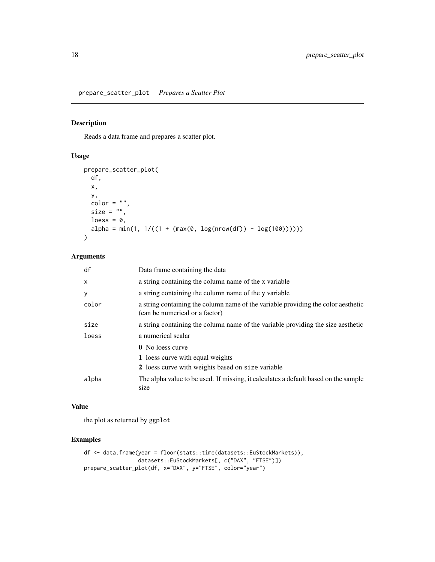<span id="page-17-0"></span>prepare\_scatter\_plot *Prepares a Scatter Plot*

# Description

Reads a data frame and prepares a scatter plot.

# Usage

```
prepare_scatter_plot(
 df,
 x,
 y,
 color = "",size = ",
 loess = 0,
 alpha = min(1, 1/((1 + (max(0, log(nrow(df)) - log(100)))))))
```
#### Arguments

| df           | Data frame containing the data                                                                                      |
|--------------|---------------------------------------------------------------------------------------------------------------------|
| $\mathsf{x}$ | a string containing the column name of the x variable                                                               |
| У            | a string containing the column name of the y variable                                                               |
| color        | a string containing the column name of the variable providing the color aesthetic<br>(can be numerical or a factor) |
| size         | a string containing the column name of the variable providing the size aesthetic                                    |
| loess        | a numerical scalar                                                                                                  |
|              | <b>0</b> No loess curve                                                                                             |
|              | 1 loess curve with equal weights                                                                                    |
|              | 2 loess curve with weights based on size variable                                                                   |
| alpha        | The alpha value to be used. If missing, it calculates a default based on the sample<br>size                         |

#### Value

the plot as returned by ggplot

```
df <- data.frame(year = floor(stats::time(datasets::EuStockMarkets)),
                 datasets::EuStockMarkets[, c("DAX", "FTSE")])
prepare_scatter_plot(df, x="DAX", y="FTSE", color="year")
```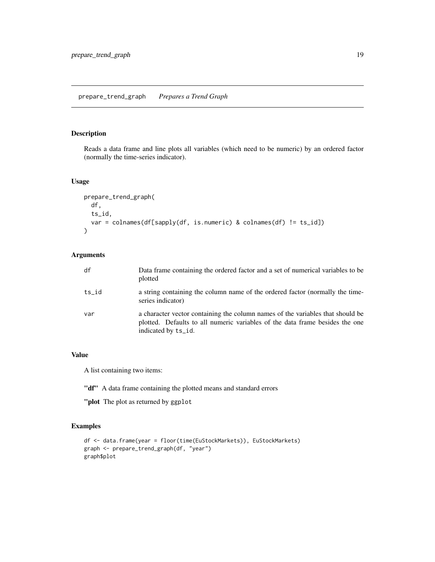# <span id="page-18-0"></span>prepare\_trend\_graph *Prepares a Trend Graph*

# Description

Reads a data frame and line plots all variables (which need to be numeric) by an ordered factor (normally the time-series indicator).

#### Usage

```
prepare_trend_graph(
  df,
  ts_id,
 var = colnames(df[sapply(df, is.numeric) & colnames(df) != ts_id])
)
```
# Arguments

| df    | Data frame containing the ordered factor and a set of numerical variables to be<br>plotted                                                                                            |
|-------|---------------------------------------------------------------------------------------------------------------------------------------------------------------------------------------|
| ts id | a string containing the column name of the ordered factor (normally the time-<br>series indicator)                                                                                    |
| var   | a character vector containing the column names of the variables that should be<br>plotted. Defaults to all numeric variables of the data frame besides the one<br>indicated by ts_id. |

# Value

A list containing two items:

"df" A data frame containing the plotted means and standard errors

"plot The plot as returned by ggplot

```
df <- data.frame(year = floor(time(EuStockMarkets)), EuStockMarkets)
graph <- prepare_trend_graph(df, "year")
graph$plot
```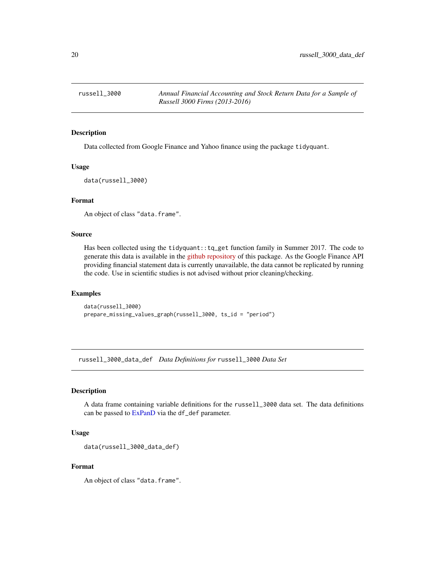<span id="page-19-0"></span>

#### Description

Data collected from Google Finance and Yahoo finance using the package tidyquant.

#### Usage

data(russell\_3000)

#### Format

An object of class "data.frame".

#### Source

Has been collected using the tidyquant::tq\_get function family in Summer 2017. The code to generate this data is available in the [github repository](https://github.com/joachim-gassen/ExPanDaR) of this package. As the Google Finance API providing financial statement data is currently unavailable, the data cannot be replicated by running the code. Use in scientific studies is not advised without prior cleaning/checking.

#### Examples

data(russell\_3000) prepare\_missing\_values\_graph(russell\_3000, ts\_id = "period")

russell\_3000\_data\_def *Data Definitions for* russell\_3000 *Data Set*

#### Description

A data frame containing variable definitions for the russell\_3000 data set. The data definitions can be passed to [ExPanD](#page-1-1) via the df\_def parameter.

#### Usage

```
data(russell_3000_data_def)
```
# Format

An object of class "data.frame".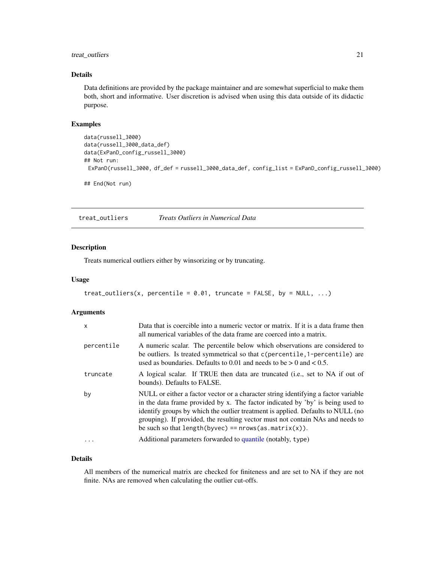# <span id="page-20-0"></span>treat\_outliers 21

## Details

Data definitions are provided by the package maintainer and are somewhat superficial to make them both, short and informative. User discretion is advised when using this data outside of its didactic purpose.

# Examples

```
data(russell_3000)
data(russell_3000_data_def)
data(ExPanD_config_russell_3000)
## Not run:
 ExPanD(russell_3000, df_def = russell_3000_data_def, config_list = ExPanD_config_russell_3000)
```
## End(Not run)

treat\_outliers *Treats Outliers in Numerical Data*

# Description

Treats numerical outliers either by winsorizing or by truncating.

#### Usage

```
treat_outliers(x, percentile = 0.01, truncate = FALSE, by = NULL, ...)
```
# Arguments

| $\mathsf{x}$ | Data that is coercible into a numeric vector or matrix. If it is a data frame then<br>all numerical variables of the data frame are coerced into a matrix.                                                                                                                                                                                                                                             |
|--------------|--------------------------------------------------------------------------------------------------------------------------------------------------------------------------------------------------------------------------------------------------------------------------------------------------------------------------------------------------------------------------------------------------------|
| percentile   | A numeric scalar. The percentile below which observations are considered to<br>be outliers. Is treated symmetrical so that c(percentile, 1-percentile) are<br>used as boundaries. Defaults to 0.01 and needs to be $> 0$ and $< 0.5$ .                                                                                                                                                                 |
| truncate     | A logical scalar. If TRUE then data are truncated (i.e., set to NA if out of<br>bounds). Defaults to FALSE.                                                                                                                                                                                                                                                                                            |
| by           | NULL or either a factor vector or a character string identifying a factor variable<br>in the data frame provided by x. The factor indicated by 'by' is being used to<br>identify groups by which the outlier treatment is applied. Defaults to NULL (no<br>grouping). If provided, the resulting vector must not contain NAs and needs to<br>be such so that length (byvec) == $nrows(as.matrix(x))$ . |
| $\ddots$     | Additional parameters forwarded to quantile (notably, type)                                                                                                                                                                                                                                                                                                                                            |

#### Details

All members of the numerical matrix are checked for finiteness and are set to NA if they are not finite. NAs are removed when calculating the outlier cut-offs.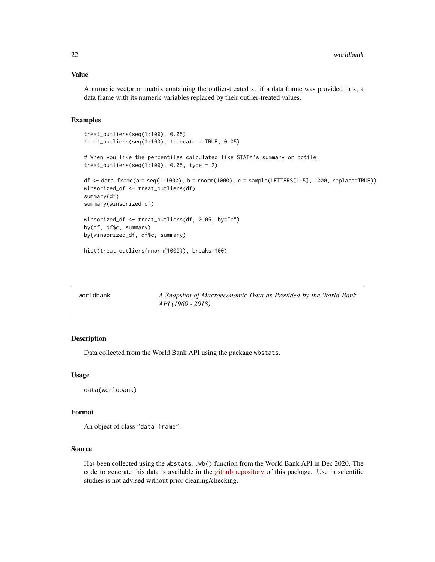# <span id="page-21-0"></span>Value

A numeric vector or matrix containing the outlier-treated x. if a data frame was provided in x, a data frame with its numeric variables replaced by their outlier-treated values.

#### Examples

```
treat_outliers(seq(1:100), 0.05)
treat_outliers(seq(1:100), truncate = TRUE, 0.05)
# When you like the percentiles calculated like STATA's summary or pctile:
treat_outliers(seq(1:100), 0.05, type = 2)
df <- data.frame(a = seq(1:1000), b = rnorm(1000), c = sample(LETTERS[1:5], 1000, replace=TRUE))
winsorized_df <- treat_outliers(df)
summary(df)
summary(winsorized_df)
winsorized_df <- treat_outliers(df, 0.05, by="c")
by(df, df$c, summary)
by(winsorized_df, df$c, summary)
hist(treat_outliers(rnorm(1000)), breaks=100)
```

| worldbank | A Snapshot of Macroeconomic Data as Provided by the World Bank |
|-----------|----------------------------------------------------------------|
|           | <i>API</i> (1960 - 2018)                                       |

#### Description

Data collected from the World Bank API using the package wbstats.

#### Usage

```
data(worldbank)
```
#### Format

An object of class "data.frame".

#### Source

Has been collected using the wbstats::wb() function from the World Bank API in Dec 2020. The code to generate this data is available in the [github repository](https://github.com/joachim-gassen/ExPanDaR) of this package. Use in scientific studies is not advised without prior cleaning/checking.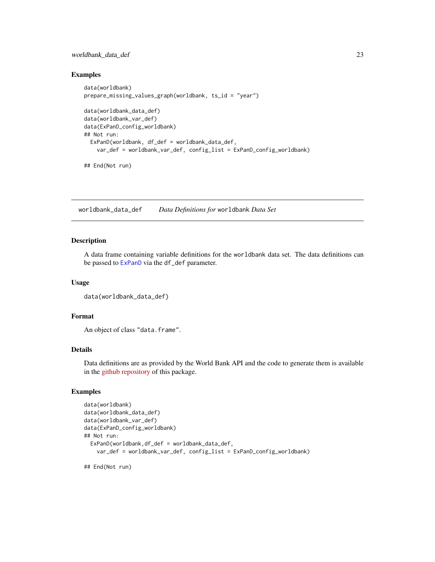# <span id="page-22-0"></span>worldbank\_data\_def 23

#### Examples

```
data(worldbank)
prepare_missing_values_graph(worldbank, ts_id = "year")
data(worldbank_data_def)
data(worldbank_var_def)
data(ExPanD_config_worldbank)
## Not run:
 ExPanD(worldbank, df_def = worldbank_data_def,
   var_def = worldbank_var_def, config_list = ExPanD_config_worldbank)
```

```
## End(Not run)
```
worldbank\_data\_def *Data Definitions for* worldbank *Data Set*

#### Description

A data frame containing variable definitions for the worldbank data set. The data definitions can be passed to [ExPanD](#page-1-1) via the df\_def parameter.

#### Usage

```
data(worldbank_data_def)
```
# Format

An object of class "data.frame".

# Details

Data definitions are as provided by the World Bank API and the code to generate them is available in the [github repository](https://github.com/joachim-gassen/ExPanDaR) of this package.

#### Examples

```
data(worldbank)
data(worldbank_data_def)
data(worldbank_var_def)
data(ExPanD_config_worldbank)
## Not run:
 ExPanD(worldbank,df_def = worldbank_data_def,
   var_def = worldbank_var_def, config_list = ExPanD_config_worldbank)
```
## End(Not run)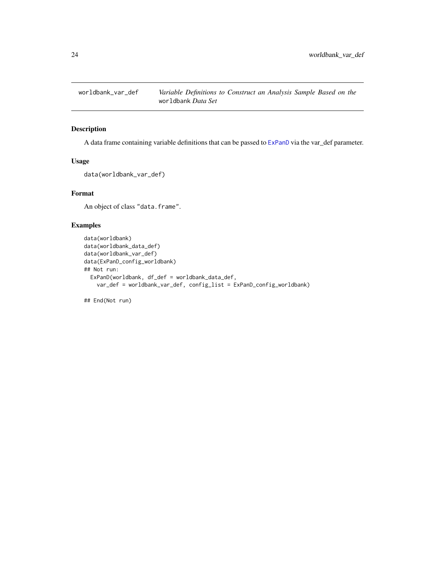<span id="page-23-0"></span>

# Description

A data frame containing variable definitions that can be passed to [ExPanD](#page-1-1) via the var\_def parameter.

#### Usage

data(worldbank\_var\_def)

# Format

An object of class "data.frame".

#### Examples

```
data(worldbank)
data(worldbank_data_def)
data(worldbank_var_def)
data(ExPanD_config_worldbank)
## Not run:
  ExPanD(worldbank, df_def = worldbank_data_def,
    var_def = worldbank_var_def, config_list = ExPanD_config_worldbank)
```
## End(Not run)